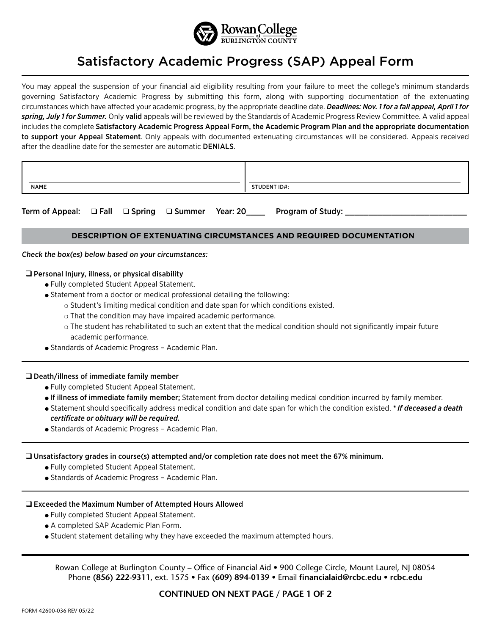

# Satisfactory Academic Progress (SAP) Appeal Form

You may appeal the suspension of your financial aid eligibility resulting from your failure to meet the college's minimum standards governing Satisfactory Academic Progress by submitting this form, along with supporting documentation of the extenuating circumstances which have affected your academic progress, by the appropriate deadline date. *Deadlines: Nov. 1 for a fall appeal, April 1 for spring, July 1 for Summer.* Only valid appeals will be reviewed by the Standards of Academic Progress Review Committee. A valid appeal includes the complete Satisfactory Academic Progress Appeal Form, the Academic Program Plan and the appropriate documentation to support your Appeal Statement. Only appeals with documented extenuating circumstances will be considered. Appeals received after the deadline date for the semester are automatic DENIALS.

| <b>NAME</b> | STUDENT ID#: |
|-------------|--------------|

Term of Appeal: q Fall q Spring q Summer Year: 20\_\_\_\_ Program of Study: \_\_\_\_\_\_\_\_\_\_\_\_\_\_\_\_\_\_\_\_\_\_\_\_\_\_

# **DESCRIPTION OF EXTENUATING CIRCUMSTANCES AND REQUIRED DOCUMENTATION**

#### Check the box(es) below based on your circumstances:

### $\square$  Personal Injury, illness, or physical disability

- Fully completed Student Appeal Statement.
- Statement from a doctor or medical professional detailing the following:
	- $\circ$  Student's limiting medical condition and date span for which conditions existed.
	- $\circ$  That the condition may have impaired academic performance.
	- $\circ$  The student has rehabilitated to such an extent that the medical condition should not significantly impair future academic performance.
- **.** Standards of Academic Progress Academic Plan.

#### $\square$  Death/illness of immediate family member

- Fully completed Student Appeal Statement.
- <sup>l</sup> If illness of immediate family member; Statement from doctor detailing medical condition incurred by family member.
- <sup>l</sup> Statement should specifically address medical condition and date span for which the condition existed. *\* If deceased a death certificate or obituary will be required.*
- **.** Standards of Academic Progress Academic Plan.

#### $\square$  Unsatisfactory grades in course(s) attempted and/or completion rate does not meet the 67% minimum.

- <sup>l</sup> Fully completed Student Appeal Statement.
- Standards of Academic Progress Academic Plan.

#### $\square$  Exceeded the Maximum Number of Attempted Hours Allowed

- <sup>l</sup> Fully completed Student Appeal Statement.
- A completed SAP Academic Plan Form.
- Student statement detailing why they have exceeded the maximum attempted hours.

Rowan College at Burlington County – Office of Financial Aid • 900 College Circle, Mount Laurel, NJ 08054 Phone **(856) 222-9311**, ext. 1575 • Fax **(609) 894-0139** • Email **financialaid@rcbc.edu • rcbc.edu**